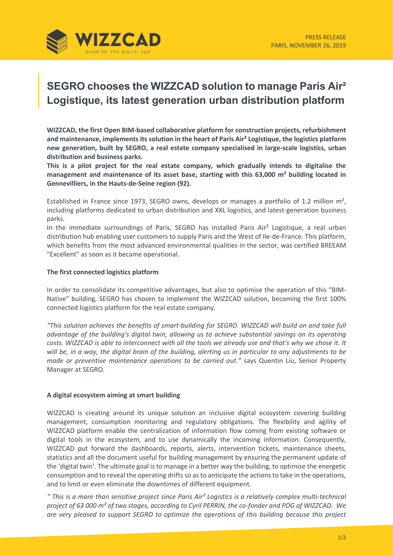

# **SEGRO chooses the WIZZCAD solution to manage Paris Air² Logistique, its latest generation urban distribution platform**

**WIZZCAD, the first Open BIM-based collaborative platform for construction projects, refurbishment and maintenance, implements its solution in the heart of Paris Air² Logistique, the logistics platform new generation, built by SEGRO, a real estate company specialised in large-scale logistics, urban distribution and business parks.**

**This is a pilot project for the real estate company, which gradually intends to digitalise the management and maintenance of its asset base, starting with this 63,000 m² building located in Gennevilliers, in the Hauts-de-Seine region (92).** 

Established in France since 1973, SEGRO owns, develops or manages a portfolio of 1.2 million m<sup>2</sup>, including platforms dedicated to urban distribution and XXL logistics, and latest-generation business parks.

In the immediate surroundings of Paris, SEGRO has installed Paris Air<sup>2</sup> Logistique, a real urban distribution hub enabling user customers to supply Paris and the West of Ile-de-France. This platform, which benefits from the most advanced environmental qualities in the sector, was certified BREEAM "Excellent" as soon as it became operational.

## **The first connected logistics platform**

In order to consolidate its competitive advantages, but also to optimise the operation of this "BIM-Native" building, SEGRO has chosen to implement the WIZZCAD solution, becoming the first 100% connected logistics platform for the real estate company.

*"This solution achieves the benefits of smart-building for SEGRO. WIZZCAD will build on and take full advantage of the building's digital twin, allowing us to achieve substantial savings on its operating costs. WIZZCAD is able to interconnect with all the tools we already use and that's why we chose it. It will be, in a way, the digital brain of the building, alerting us in particular to any adjustments to be made or preventive maintenance operations to be carried out."* says Quentin Liu, Senior Property Manager at SEGRO.

#### **A digital ecosystem aiming at smart building**

WIZZCAD is creating around its unique solution an inclusive digital ecosystem covering building management, consumption monitoring and regulatory obligations. The flexibility and agility of WIZZCAD platform enable the centralization of information flow coming from existing software or digital tools in the ecosystem, and to use dynamically the incoming information. Consequently, WIZZCAD put forward the dashboards, reports, alerts, intervention tickets, maintenance sheets, statistics and all the document useful for building management by ensuring the permanent update of the 'digital twin'. The ultimate goal is to manage in a better way the building, to optimize the energetic consumption and to reveal the operating drifts so as to anticipate the actions to take in the operations, and to limit or even eliminate the downtimes of different equipment.

*" This is a more than sensitive project since Paris Air² Logistics is a relatively complex multi-technical project of 63 000 m² of two stages, according to Cyril PERRIN, the co-fonder and PDG of WIZZCAD. We are very pleased to support SEGRO to optimize the operations of this building because this project*